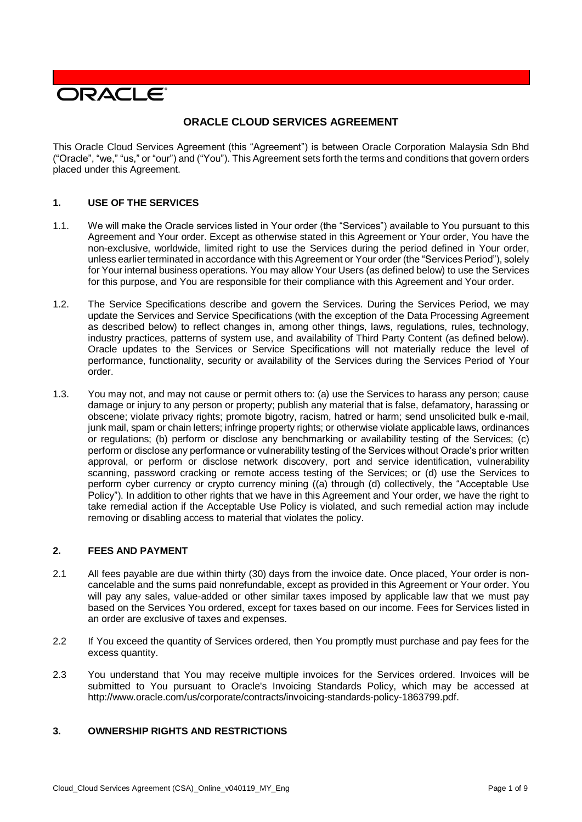

# **ORACLE CLOUD SERVICES AGREEMENT**

This Oracle Cloud Services Agreement (this "Agreement") is between Oracle Corporation Malaysia Sdn Bhd ("Oracle", "we," "us," or "our") and ("You"). This Agreement sets forth the terms and conditions that govern orders placed under this Agreement.

## **1. USE OF THE SERVICES**

- 1.1. We will make the Oracle services listed in Your order (the "Services") available to You pursuant to this Agreement and Your order. Except as otherwise stated in this Agreement or Your order, You have the non-exclusive, worldwide, limited right to use the Services during the period defined in Your order, unless earlier terminated in accordance with this Agreement or Your order (the "Services Period"), solely for Your internal business operations. You may allow Your Users (as defined below) to use the Services for this purpose, and You are responsible for their compliance with this Agreement and Your order.
- 1.2. The Service Specifications describe and govern the Services. During the Services Period, we may update the Services and Service Specifications (with the exception of the Data Processing Agreement as described below) to reflect changes in, among other things, laws, regulations, rules, technology, industry practices, patterns of system use, and availability of Third Party Content (as defined below). Oracle updates to the Services or Service Specifications will not materially reduce the level of performance, functionality, security or availability of the Services during the Services Period of Your order.
- 1.3. You may not, and may not cause or permit others to: (a) use the Services to harass any person; cause damage or injury to any person or property; publish any material that is false, defamatory, harassing or obscene; violate privacy rights; promote bigotry, racism, hatred or harm; send unsolicited bulk e-mail, junk mail, spam or chain letters; infringe property rights; or otherwise violate applicable laws, ordinances or regulations; (b) perform or disclose any benchmarking or availability testing of the Services; (c) perform or disclose any performance or vulnerability testing of the Services without Oracle's prior written approval, or perform or disclose network discovery, port and service identification, vulnerability scanning, password cracking or remote access testing of the Services; or (d) use the Services to perform cyber currency or crypto currency mining ((a) through (d) collectively, the "Acceptable Use Policy"). In addition to other rights that we have in this Agreement and Your order, we have the right to take remedial action if the Acceptable Use Policy is violated, and such remedial action may include removing or disabling access to material that violates the policy.

#### **2. FEES AND PAYMENT**

- 2.1 All fees payable are due within thirty (30) days from the invoice date. Once placed, Your order is noncancelable and the sums paid nonrefundable, except as provided in this Agreement or Your order. You will pay any sales, value-added or other similar taxes imposed by applicable law that we must pay based on the Services You ordered, except for taxes based on our income. Fees for Services listed in an order are exclusive of taxes and expenses.
- 2.2 If You exceed the quantity of Services ordered, then You promptly must purchase and pay fees for the excess quantity.
- 2.3 You understand that You may receive multiple invoices for the Services ordered. Invoices will be submitted to You pursuant to Oracle's Invoicing Standards Policy, which may be accessed at [http://www.oracle.com/us/corporate/contracts/invoicing-standards-policy-1863799.pdf.](http://www.oracle.com/us/corporate/contracts/invoicing-standards-policy-1863799.pdf)

# **3. OWNERSHIP RIGHTS AND RESTRICTIONS**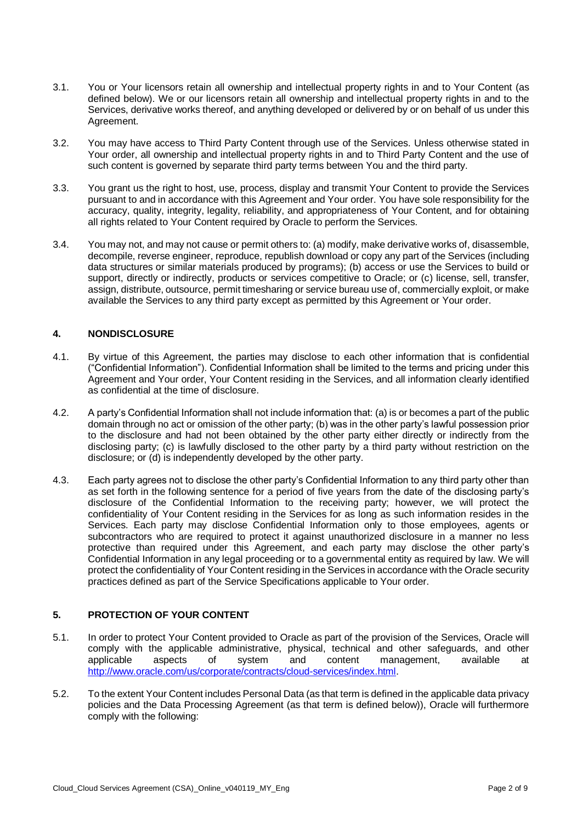- 3.1. You or Your licensors retain all ownership and intellectual property rights in and to Your Content (as defined below). We or our licensors retain all ownership and intellectual property rights in and to the Services, derivative works thereof, and anything developed or delivered by or on behalf of us under this Agreement.
- 3.2. You may have access to Third Party Content through use of the Services. Unless otherwise stated in Your order, all ownership and intellectual property rights in and to Third Party Content and the use of such content is governed by separate third party terms between You and the third party.
- 3.3. You grant us the right to host, use, process, display and transmit Your Content to provide the Services pursuant to and in accordance with this Agreement and Your order. You have sole responsibility for the accuracy, quality, integrity, legality, reliability, and appropriateness of Your Content, and for obtaining all rights related to Your Content required by Oracle to perform the Services.
- 3.4. You may not, and may not cause or permit others to: (a) modify, make derivative works of, disassemble, decompile, reverse engineer, reproduce, republish download or copy any part of the Services (including data structures or similar materials produced by programs); (b) access or use the Services to build or support, directly or indirectly, products or services competitive to Oracle; or (c) license, sell, transfer, assign, distribute, outsource, permit timesharing or service bureau use of, commercially exploit, or make available the Services to any third party except as permitted by this Agreement or Your order.

## **4. NONDISCLOSURE**

- 4.1. By virtue of this Agreement, the parties may disclose to each other information that is confidential ("Confidential Information"). Confidential Information shall be limited to the terms and pricing under this Agreement and Your order, Your Content residing in the Services, and all information clearly identified as confidential at the time of disclosure.
- 4.2. A party's Confidential Information shall not include information that: (a) is or becomes a part of the public domain through no act or omission of the other party; (b) was in the other party's lawful possession prior to the disclosure and had not been obtained by the other party either directly or indirectly from the disclosing party; (c) is lawfully disclosed to the other party by a third party without restriction on the disclosure; or (d) is independently developed by the other party.
- 4.3. Each party agrees not to disclose the other party's Confidential Information to any third party other than as set forth in the following sentence for a period of five years from the date of the disclosing party's disclosure of the Confidential Information to the receiving party; however, we will protect the confidentiality of Your Content residing in the Services for as long as such information resides in the Services. Each party may disclose Confidential Information only to those employees, agents or subcontractors who are required to protect it against unauthorized disclosure in a manner no less protective than required under this Agreement, and each party may disclose the other party's Confidential Information in any legal proceeding or to a governmental entity as required by law. We will protect the confidentiality of Your Content residing in the Services in accordance with the Oracle security practices defined as part of the Service Specifications applicable to Your order.

# **5. PROTECTION OF YOUR CONTENT**

- 5.1. In order to protect Your Content provided to Oracle as part of the provision of the Services, Oracle will comply with the applicable administrative, physical, technical and other safeguards, and other applicable at applicable at a spects of system and content management. available at applicable aspects of system and content management, available at [http://www.oracle.com/us/corporate/contracts/cloud-services/index.html.](http://www.oracle.com/us/corporate/contracts/cloud-services/index.html)
- 5.2. To the extent Your Content includes Personal Data (as that term is defined in the applicable data privacy policies and the Data Processing Agreement (as that term is defined below)), Oracle will furthermore comply with the following: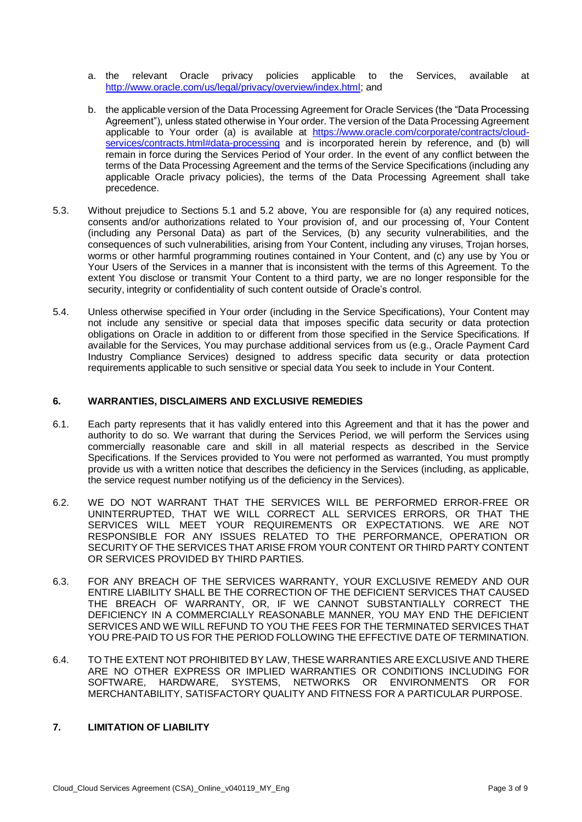- a. the relevant Oracle privacy policies applicable to the Services, available at [http://www.oracle.com/us/legal/privacy/overview/index.html;](http://www.oracle.com/us/legal/privacy/overview/index.html) and
- b. the applicable version of the Data Processing Agreement for Oracle Services (the "Data Processing Agreement"), unless stated otherwise in Your order. The version of the Data Processing Agreement applicable to Your order (a) is available at [https://www.oracle.com/corporate/contracts/cloud](https://www.oracle.com/corporate/contracts/cloud-services/contracts.html#data-processing)[services/contracts.html#data-processing](https://www.oracle.com/corporate/contracts/cloud-services/contracts.html#data-processing) and is incorporated herein by reference, and (b) will remain in force during the Services Period of Your order. In the event of any conflict between the terms of the Data Processing Agreement and the terms of the Service Specifications (including any applicable Oracle privacy policies), the terms of the Data Processing Agreement shall take precedence.
- 5.3. Without prejudice to Sections 5.1 and 5.2 above, You are responsible for (a) any required notices, consents and/or authorizations related to Your provision of, and our processing of, Your Content (including any Personal Data) as part of the Services, (b) any security vulnerabilities, and the consequences of such vulnerabilities, arising from Your Content, including any viruses, Trojan horses, worms or other harmful programming routines contained in Your Content, and (c) any use by You or Your Users of the Services in a manner that is inconsistent with the terms of this Agreement. To the extent You disclose or transmit Your Content to a third party, we are no longer responsible for the security, integrity or confidentiality of such content outside of Oracle's control.
- 5.4. Unless otherwise specified in Your order (including in the Service Specifications), Your Content may not include any sensitive or special data that imposes specific data security or data protection obligations on Oracle in addition to or different from those specified in the Service Specifications. If available for the Services, You may purchase additional services from us (e.g., Oracle Payment Card Industry Compliance Services) designed to address specific data security or data protection requirements applicable to such sensitive or special data You seek to include in Your Content.

#### **6. WARRANTIES, DISCLAIMERS AND EXCLUSIVE REMEDIES**

- 6.1. Each party represents that it has validly entered into this Agreement and that it has the power and authority to do so. We warrant that during the Services Period, we will perform the Services using commercially reasonable care and skill in all material respects as described in the Service Specifications. If the Services provided to You were not performed as warranted, You must promptly provide us with a written notice that describes the deficiency in the Services (including, as applicable, the service request number notifying us of the deficiency in the Services).
- 6.2. WE DO NOT WARRANT THAT THE SERVICES WILL BE PERFORMED ERROR-FREE OR UNINTERRUPTED, THAT WE WILL CORRECT ALL SERVICES ERRORS, OR THAT THE SERVICES WILL MEET YOUR REQUIREMENTS OR EXPECTATIONS. WE ARE NOT RESPONSIBLE FOR ANY ISSUES RELATED TO THE PERFORMANCE, OPERATION OR SECURITY OF THE SERVICES THAT ARISE FROM YOUR CONTENT OR THIRD PARTY CONTENT OR SERVICES PROVIDED BY THIRD PARTIES.
- 6.3. FOR ANY BREACH OF THE SERVICES WARRANTY, YOUR EXCLUSIVE REMEDY AND OUR ENTIRE LIABILITY SHALL BE THE CORRECTION OF THE DEFICIENT SERVICES THAT CAUSED THE BREACH OF WARRANTY, OR, IF WE CANNOT SUBSTANTIALLY CORRECT THE DEFICIENCY IN A COMMERCIALLY REASONABLE MANNER, YOU MAY END THE DEFICIENT SERVICES AND WE WILL REFUND TO YOU THE FEES FOR THE TERMINATED SERVICES THAT YOU PRE-PAID TO US FOR THE PERIOD FOLLOWING THE EFFECTIVE DATE OF TERMINATION.
- 6.4. TO THE EXTENT NOT PROHIBITED BY LAW, THESE WARRANTIES ARE EXCLUSIVE AND THERE ARE NO OTHER EXPRESS OR IMPLIED WARRANTIES OR CONDITIONS INCLUDING FOR SOFTWARE, HARDWARE, SYSTEMS, NETWORKS OR ENVIRONMENTS OR FOR MERCHANTABILITY, SATISFACTORY QUALITY AND FITNESS FOR A PARTICULAR PURPOSE.

# **7. LIMITATION OF LIABILITY**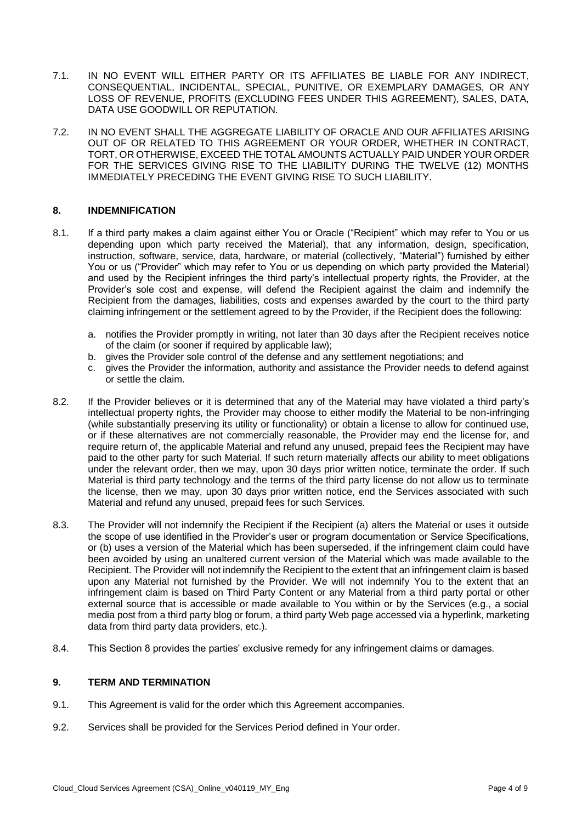- 7.1. IN NO EVENT WILL EITHER PARTY OR ITS AFFILIATES BE LIABLE FOR ANY INDIRECT, CONSEQUENTIAL, INCIDENTAL, SPECIAL, PUNITIVE, OR EXEMPLARY DAMAGES, OR ANY LOSS OF REVENUE, PROFITS (EXCLUDING FEES UNDER THIS AGREEMENT), SALES, DATA, DATA USE GOODWILL OR REPUTATION.
- 7.2. IN NO EVENT SHALL THE AGGREGATE LIABILITY OF ORACLE AND OUR AFFILIATES ARISING OUT OF OR RELATED TO THIS AGREEMENT OR YOUR ORDER, WHETHER IN CONTRACT, TORT, OR OTHERWISE, EXCEED THE TOTAL AMOUNTS ACTUALLY PAID UNDER YOUR ORDER FOR THE SERVICES GIVING RISE TO THE LIABILITY DURING THE TWELVE (12) MONTHS IMMEDIATELY PRECEDING THE EVENT GIVING RISE TO SUCH LIABILITY.

### **8. INDEMNIFICATION**

- 8.1. If a third party makes a claim against either You or Oracle ("Recipient" which may refer to You or us depending upon which party received the Material), that any information, design, specification, instruction, software, service, data, hardware, or material (collectively, "Material") furnished by either You or us ("Provider" which may refer to You or us depending on which party provided the Material) and used by the Recipient infringes the third party's intellectual property rights, the Provider, at the Provider's sole cost and expense, will defend the Recipient against the claim and indemnify the Recipient from the damages, liabilities, costs and expenses awarded by the court to the third party claiming infringement or the settlement agreed to by the Provider, if the Recipient does the following:
	- a. notifies the Provider promptly in writing, not later than 30 days after the Recipient receives notice of the claim (or sooner if required by applicable law);
	- b. gives the Provider sole control of the defense and any settlement negotiations; and
	- c. gives the Provider the information, authority and assistance the Provider needs to defend against or settle the claim.
- 8.2. If the Provider believes or it is determined that any of the Material may have violated a third party's intellectual property rights, the Provider may choose to either modify the Material to be non-infringing (while substantially preserving its utility or functionality) or obtain a license to allow for continued use, or if these alternatives are not commercially reasonable, the Provider may end the license for, and require return of, the applicable Material and refund any unused, prepaid fees the Recipient may have paid to the other party for such Material. If such return materially affects our ability to meet obligations under the relevant order, then we may, upon 30 days prior written notice, terminate the order. If such Material is third party technology and the terms of the third party license do not allow us to terminate the license, then we may, upon 30 days prior written notice, end the Services associated with such Material and refund any unused, prepaid fees for such Services.
- 8.3. The Provider will not indemnify the Recipient if the Recipient (a) alters the Material or uses it outside the scope of use identified in the Provider's user or program documentation or Service Specifications, or (b) uses a version of the Material which has been superseded, if the infringement claim could have been avoided by using an unaltered current version of the Material which was made available to the Recipient. The Provider will not indemnify the Recipient to the extent that an infringement claim is based upon any Material not furnished by the Provider. We will not indemnify You to the extent that an infringement claim is based on Third Party Content or any Material from a third party portal or other external source that is accessible or made available to You within or by the Services (e.g., a social media post from a third party blog or forum, a third party Web page accessed via a hyperlink, marketing data from third party data providers, etc.).
- 8.4. This Section 8 provides the parties' exclusive remedy for any infringement claims or damages.

#### **9. TERM AND TERMINATION**

- 9.1. This Agreement is valid for the order which this Agreement accompanies.
- 9.2. Services shall be provided for the Services Period defined in Your order.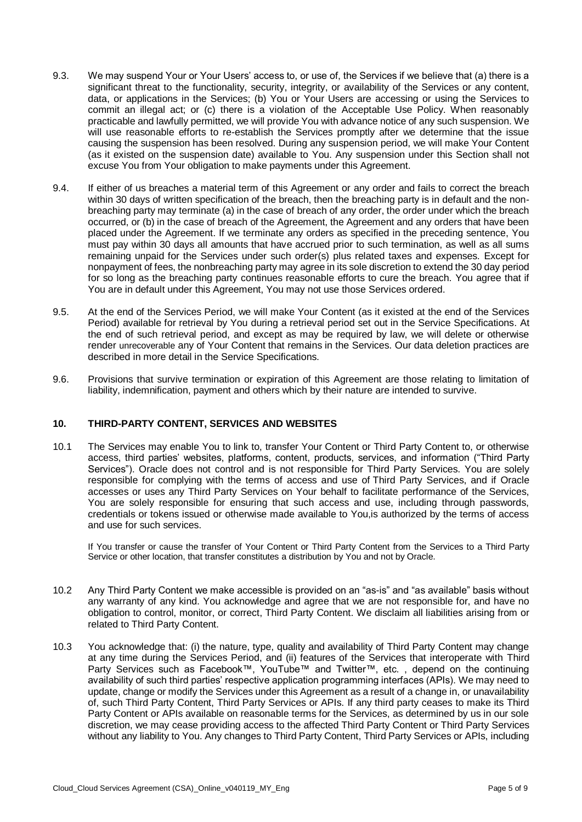- 9.3. We may suspend Your or Your Users' access to, or use of, the Services if we believe that (a) there is a significant threat to the functionality, security, integrity, or availability of the Services or any content, data, or applications in the Services; (b) You or Your Users are accessing or using the Services to commit an illegal act; or (c) there is a violation of the Acceptable Use Policy. When reasonably practicable and lawfully permitted, we will provide You with advance notice of any such suspension. We will use reasonable efforts to re-establish the Services promptly after we determine that the issue causing the suspension has been resolved. During any suspension period, we will make Your Content (as it existed on the suspension date) available to You. Any suspension under this Section shall not excuse You from Your obligation to make payments under this Agreement.
- 9.4. If either of us breaches a material term of this Agreement or any order and fails to correct the breach within 30 days of written specification of the breach, then the breaching party is in default and the nonbreaching party may terminate (a) in the case of breach of any order, the order under which the breach occurred, or (b) in the case of breach of the Agreement, the Agreement and any orders that have been placed under the Agreement. If we terminate any orders as specified in the preceding sentence, You must pay within 30 days all amounts that have accrued prior to such termination, as well as all sums remaining unpaid for the Services under such order(s) plus related taxes and expenses. Except for nonpayment of fees, the nonbreaching party may agree in its sole discretion to extend the 30 day period for so long as the breaching party continues reasonable efforts to cure the breach. You agree that if You are in default under this Agreement, You may not use those Services ordered.
- 9.5. At the end of the Services Period, we will make Your Content (as it existed at the end of the Services Period) available for retrieval by You during a retrieval period set out in the Service Specifications. At the end of such retrieval period, and except as may be required by law, we will delete or otherwise render unrecoverable any of Your Content that remains in the Services. Our data deletion practices are described in more detail in the Service Specifications.
- 9.6. Provisions that survive termination or expiration of this Agreement are those relating to limitation of liability, indemnification, payment and others which by their nature are intended to survive.

#### **10. THIRD-PARTY CONTENT, SERVICES AND WEBSITES**

10.1 The Services may enable You to link to, transfer Your Content or Third Party Content to, or otherwise access, third parties' websites, platforms, content, products, services, and information ("Third Party Services"). Oracle does not control and is not responsible for Third Party Services. You are solely responsible for complying with the terms of access and use of Third Party Services, and if Oracle accesses or uses any Third Party Services on Your behalf to facilitate performance of the Services, You are solely responsible for ensuring that such access and use, including through passwords, credentials or tokens issued or otherwise made available to You,is authorized by the terms of access and use for such services.

If You transfer or cause the transfer of Your Content or Third Party Content from the Services to a Third Party Service or other location, that transfer constitutes a distribution by You and not by Oracle.

- 10.2 Any Third Party Content we make accessible is provided on an "as-is" and "as available" basis without any warranty of any kind. You acknowledge and agree that we are not responsible for, and have no obligation to control, monitor, or correct, Third Party Content. We disclaim all liabilities arising from or related to Third Party Content.
- 10.3 You acknowledge that: (i) the nature, type, quality and availability of Third Party Content may change at any time during the Services Period, and (ii) features of the Services that interoperate with Third Party Services such as Facebook™, YouTube™ and Twitter™, etc. , depend on the continuing availability of such third parties' respective application programming interfaces (APIs). We may need to update, change or modify the Services under this Agreement as a result of a change in, or unavailability of, such Third Party Content, Third Party Services or APIs. If any third party ceases to make its Third Party Content or APIs available on reasonable terms for the Services, as determined by us in our sole discretion, we may cease providing access to the affected Third Party Content or Third Party Services without any liability to You. Any changes to Third Party Content, Third Party Services or APIs, including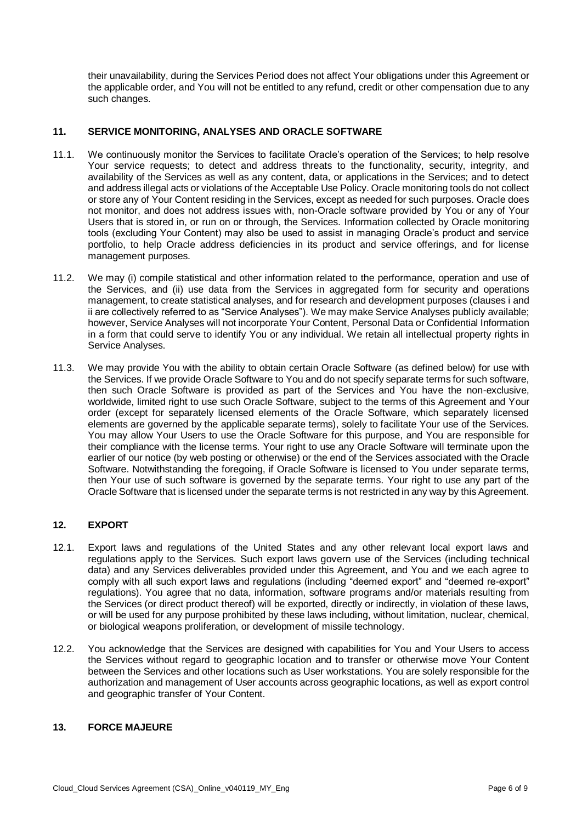their unavailability, during the Services Period does not affect Your obligations under this Agreement or the applicable order, and You will not be entitled to any refund, credit or other compensation due to any such changes.

# **11. SERVICE MONITORING, ANALYSES AND ORACLE SOFTWARE**

- 11.1. We continuously monitor the Services to facilitate Oracle's operation of the Services; to help resolve Your service requests; to detect and address threats to the functionality, security, integrity, and availability of the Services as well as any content, data, or applications in the Services; and to detect and address illegal acts or violations of the Acceptable Use Policy. Oracle monitoring tools do not collect or store any of Your Content residing in the Services, except as needed for such purposes. Oracle does not monitor, and does not address issues with, non-Oracle software provided by You or any of Your Users that is stored in, or run on or through, the Services. Information collected by Oracle monitoring tools (excluding Your Content) may also be used to assist in managing Oracle's product and service portfolio, to help Oracle address deficiencies in its product and service offerings, and for license management purposes.
- 11.2. We may (i) compile statistical and other information related to the performance, operation and use of the Services, and (ii) use data from the Services in aggregated form for security and operations management, to create statistical analyses, and for research and development purposes (clauses i and ii are collectively referred to as "Service Analyses"). We may make Service Analyses publicly available; however, Service Analyses will not incorporate Your Content, Personal Data or Confidential Information in a form that could serve to identify You or any individual. We retain all intellectual property rights in Service Analyses.
- 11.3. We may provide You with the ability to obtain certain Oracle Software (as defined below) for use with the Services. If we provide Oracle Software to You and do not specify separate terms for such software, then such Oracle Software is provided as part of the Services and You have the non-exclusive, worldwide, limited right to use such Oracle Software, subject to the terms of this Agreement and Your order (except for separately licensed elements of the Oracle Software, which separately licensed elements are governed by the applicable separate terms), solely to facilitate Your use of the Services. You may allow Your Users to use the Oracle Software for this purpose, and You are responsible for their compliance with the license terms. Your right to use any Oracle Software will terminate upon the earlier of our notice (by web posting or otherwise) or the end of the Services associated with the Oracle Software. Notwithstanding the foregoing, if Oracle Software is licensed to You under separate terms, then Your use of such software is governed by the separate terms. Your right to use any part of the Oracle Software that is licensed under the separate terms is not restricted in any way by this Agreement.

# **12. EXPORT**

- 12.1. Export laws and regulations of the United States and any other relevant local export laws and regulations apply to the Services. Such export laws govern use of the Services (including technical data) and any Services deliverables provided under this Agreement, and You and we each agree to comply with all such export laws and regulations (including "deemed export" and "deemed re-export" regulations). You agree that no data, information, software programs and/or materials resulting from the Services (or direct product thereof) will be exported, directly or indirectly, in violation of these laws, or will be used for any purpose prohibited by these laws including, without limitation, nuclear, chemical, or biological weapons proliferation, or development of missile technology.
- 12.2. You acknowledge that the Services are designed with capabilities for You and Your Users to access the Services without regard to geographic location and to transfer or otherwise move Your Content between the Services and other locations such as User workstations. You are solely responsible for the authorization and management of User accounts across geographic locations, as well as export control and geographic transfer of Your Content.

## **13. FORCE MAJEURE**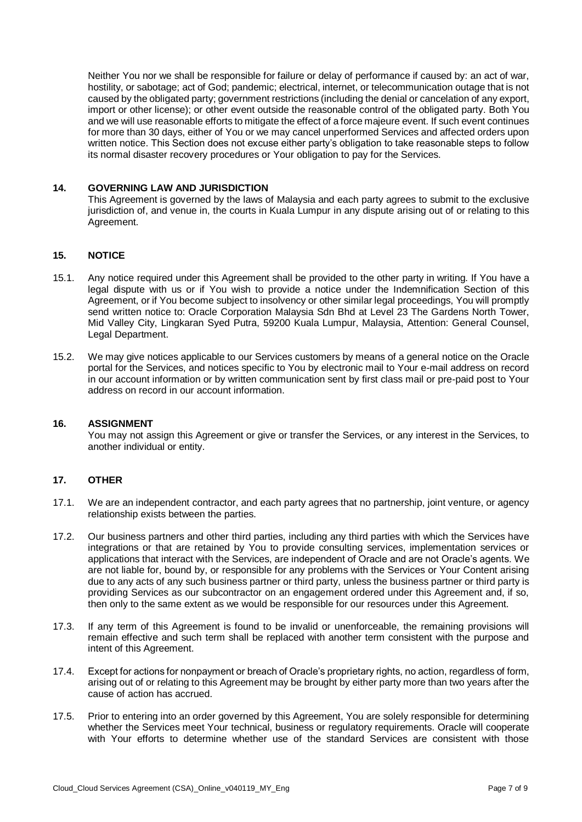Neither You nor we shall be responsible for failure or delay of performance if caused by: an act of war, hostility, or sabotage; act of God; pandemic; electrical, internet, or telecommunication outage that is not caused by the obligated party; government restrictions (including the denial or cancelation of any export, import or other license); or other event outside the reasonable control of the obligated party. Both You and we will use reasonable efforts to mitigate the effect of a force majeure event. If such event continues for more than 30 days, either of You or we may cancel unperformed Services and affected orders upon written notice. This Section does not excuse either party's obligation to take reasonable steps to follow its normal disaster recovery procedures or Your obligation to pay for the Services.

### **14. GOVERNING LAW AND JURISDICTION**

This Agreement is governed by the laws of Malaysia and each party agrees to submit to the exclusive jurisdiction of, and venue in, the courts in Kuala Lumpur in any dispute arising out of or relating to this Agreement.

## **15. NOTICE**

- 15.1. Any notice required under this Agreement shall be provided to the other party in writing. If You have a legal dispute with us or if You wish to provide a notice under the Indemnification Section of this Agreement, or if You become subject to insolvency or other similar legal proceedings, You will promptly send written notice to: Oracle Corporation Malaysia Sdn Bhd at Level 23 The Gardens North Tower, Mid Valley City, Lingkaran Syed Putra, 59200 Kuala Lumpur, Malaysia, Attention: General Counsel, Legal Department.
- 15.2. We may give notices applicable to our Services customers by means of a general notice on the Oracle portal for the Services, and notices specific to You by electronic mail to Your e-mail address on record in our account information or by written communication sent by first class mail or pre-paid post to Your address on record in our account information.

#### **16. ASSIGNMENT**

You may not assign this Agreement or give or transfer the Services, or any interest in the Services, to another individual or entity.

### **17. OTHER**

- 17.1. We are an independent contractor, and each party agrees that no partnership, joint venture, or agency relationship exists between the parties.
- 17.2. Our business partners and other third parties, including any third parties with which the Services have integrations or that are retained by You to provide consulting services, implementation services or applications that interact with the Services, are independent of Oracle and are not Oracle's agents. We are not liable for, bound by, or responsible for any problems with the Services or Your Content arising due to any acts of any such business partner or third party, unless the business partner or third party is providing Services as our subcontractor on an engagement ordered under this Agreement and, if so, then only to the same extent as we would be responsible for our resources under this Agreement.
- 17.3. If any term of this Agreement is found to be invalid or unenforceable, the remaining provisions will remain effective and such term shall be replaced with another term consistent with the purpose and intent of this Agreement.
- 17.4. Except for actions for nonpayment or breach of Oracle's proprietary rights, no action, regardless of form, arising out of or relating to this Agreement may be brought by either party more than two years after the cause of action has accrued.
- 17.5. Prior to entering into an order governed by this Agreement, You are solely responsible for determining whether the Services meet Your technical, business or regulatory requirements. Oracle will cooperate with Your efforts to determine whether use of the standard Services are consistent with those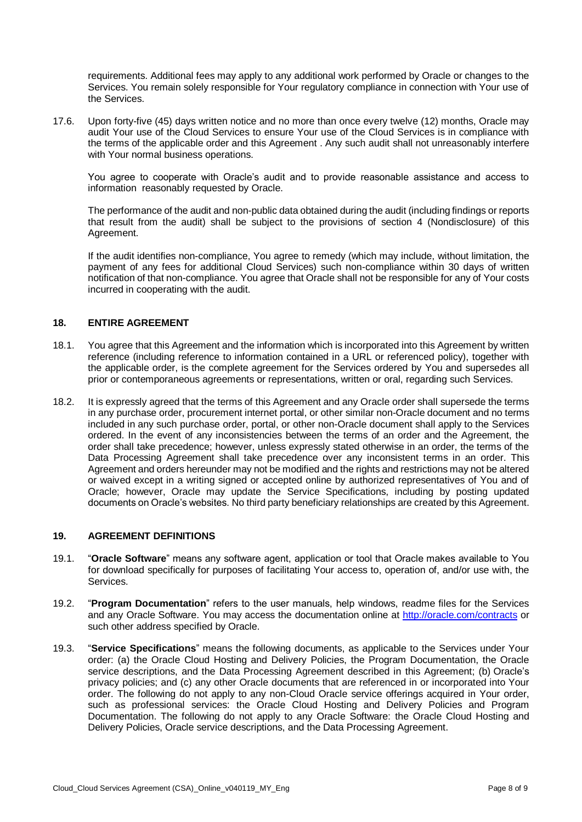requirements. Additional fees may apply to any additional work performed by Oracle or changes to the Services. You remain solely responsible for Your regulatory compliance in connection with Your use of the Services.

17.6. Upon forty-five (45) days written notice and no more than once every twelve (12) months, Oracle may audit Your use of the Cloud Services to ensure Your use of the Cloud Services is in compliance with the terms of the applicable order and this Agreement . Any such audit shall not unreasonably interfere with Your normal business operations.

You agree to cooperate with Oracle's audit and to provide reasonable assistance and access to information reasonably requested by Oracle.

The performance of the audit and non-public data obtained during the audit (including findings or reports that result from the audit) shall be subject to the provisions of section 4 (Nondisclosure) of this Agreement.

If the audit identifies non-compliance, You agree to remedy (which may include, without limitation, the payment of any fees for additional Cloud Services) such non-compliance within 30 days of written notification of that non-compliance. You agree that Oracle shall not be responsible for any of Your costs incurred in cooperating with the audit.

### **18. ENTIRE AGREEMENT**

- 18.1. You agree that this Agreement and the information which is incorporated into this Agreement by written reference (including reference to information contained in a URL or referenced policy), together with the applicable order, is the complete agreement for the Services ordered by You and supersedes all prior or contemporaneous agreements or representations, written or oral, regarding such Services.
- 18.2. It is expressly agreed that the terms of this Agreement and any Oracle order shall supersede the terms in any purchase order, procurement internet portal, or other similar non-Oracle document and no terms included in any such purchase order, portal, or other non-Oracle document shall apply to the Services ordered. In the event of any inconsistencies between the terms of an order and the Agreement, the order shall take precedence; however, unless expressly stated otherwise in an order, the terms of the Data Processing Agreement shall take precedence over any inconsistent terms in an order. This Agreement and orders hereunder may not be modified and the rights and restrictions may not be altered or waived except in a writing signed or accepted online by authorized representatives of You and of Oracle; however, Oracle may update the Service Specifications, including by posting updated documents on Oracle's websites. No third party beneficiary relationships are created by this Agreement.

#### **19. AGREEMENT DEFINITIONS**

- 19.1. "**Oracle Software**" means any software agent, application or tool that Oracle makes available to You for download specifically for purposes of facilitating Your access to, operation of, and/or use with, the Services.
- 19.2. "**Program Documentation**" refers to the user manuals, help windows, readme files for the Services and any Oracle Software. You may access the documentation online at<http://oracle.com/contracts> or such other address specified by Oracle.
- 19.3. "**Service Specifications**" means the following documents, as applicable to the Services under Your order: (a) the Oracle Cloud Hosting and Delivery Policies, the Program Documentation, the Oracle service descriptions, and the Data Processing Agreement described in this Agreement; (b) Oracle's privacy policies; and (c) any other Oracle documents that are referenced in or incorporated into Your order. The following do not apply to any non-Cloud Oracle service offerings acquired in Your order, such as professional services: the Oracle Cloud Hosting and Delivery Policies and Program Documentation. The following do not apply to any Oracle Software: the Oracle Cloud Hosting and Delivery Policies, Oracle service descriptions, and the Data Processing Agreement.